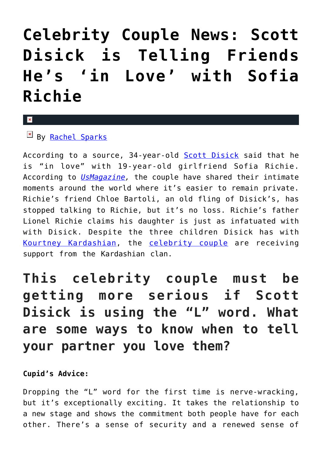## **[Celebrity Couple News: Scott](https://cupidspulse.com/121508/celebrity-couple-news-scott-disick-in-love-sofia-richie/) [Disick is Telling Friends](https://cupidspulse.com/121508/celebrity-couple-news-scott-disick-in-love-sofia-richie/) [He's 'in Love' with Sofia](https://cupidspulse.com/121508/celebrity-couple-news-scott-disick-in-love-sofia-richie/) [Richie](https://cupidspulse.com/121508/celebrity-couple-news-scott-disick-in-love-sofia-richie/)**

## x

 $By$  [Rachel Sparks](http://cupidspulse.com/121112/rachel-sparks/)

According to a source, 34-year-old **[Scott Disick](http://cupidspulse.com/87712/scott-disick/)** said that he is "in love" with 19-year-old girlfriend Sofia Richie. According to *[UsMagazine,](https://www.usmagazine.com/celebrity-news/news/scott-disick-is-telling-friends-hes-in-love-with-sofia-richie/)* the couple have shared their intimate moments around the world where it's easier to remain private. Richie's friend Chloe Bartoli, an old fling of Disick's, has stopped talking to Richie, but it's no loss. Richie's father Lionel Richie claims his daughter is just as infatuated with with Disick. Despite the three children Disick has with [Kourtney Kardashian](http://cupidspulse.com/89555/kourtney-kardashian/), the [celebrity couple](http://cupidspulse.com/celebrity-news/celebrity-dating/) are receiving support from the Kardashian clan.

## **This celebrity couple must be getting more serious if Scott Disick is using the "L" word. What are some ways to know when to tell your partner you love them?**

## **Cupid's Advice:**

Dropping the "L" word for the first time is nerve-wracking, but it's exceptionally exciting. It takes the relationship to a new stage and shows the commitment both people have for each other. There's a sense of security and a renewed sense of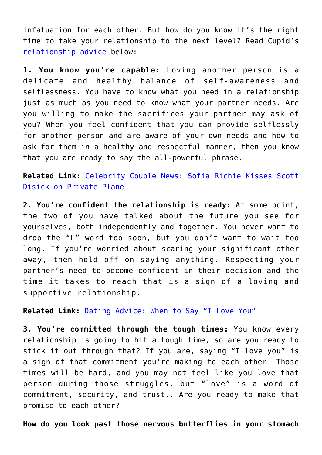infatuation for each other. But how do you know it's the right time to take your relationship to the next level? Read Cupid's [relationship advice](http://cupidspulse.com/relationship-experts/) below:

**1. You know you're capable:** Loving another person is a delicate and healthy balance of self-awareness and selflessness. You have to know what you need in a relationship just as much as you need to know what your partner needs. Are you willing to make the sacrifices your partner may ask of you? When you feel confident that you can provide selflessly for another person and are aware of your own needs and how to ask for them in a healthy and respectful manner, then you know that you are ready to say the all-powerful phrase.

**Related Link:** [Celebrity Couple News: Sofia Richie Kisses Scott](http://cupidspulse.com/120982/celebrity-couple-news-sofia-richie-kisses-scott-disick-private-plane/) [Disick on Private Plane](http://cupidspulse.com/120982/celebrity-couple-news-sofia-richie-kisses-scott-disick-private-plane/)

**2. You're confident the relationship is ready:** At some point, the two of you have talked about the future you see for yourselves, both independently and together. You never want to drop the "L" word too soon, but you don't want to wait too long. If you're worried about scaring your significant other away, then hold off on saying anything. Respecting your partner's need to become confident in their decision and the time it takes to reach that is a sign of a loving and supportive relationship.

**Related Link:** [Dating Advice: When to Say "I Love You"](http://cupidspulse.com/120446/dating-advice-when-say-love-you/)

**3. You're committed through the tough times:** You know every relationship is going to hit a tough time, so are you ready to stick it out through that? If you are, saying "I love you" is a sign of that commitment you're making to each other. Those times will be hard, and you may not feel like you love that person during those struggles, but "love" is a word of commitment, security, and trust.. Are you ready to make that promise to each other?

**How do you look past those nervous butterflies in your stomach**